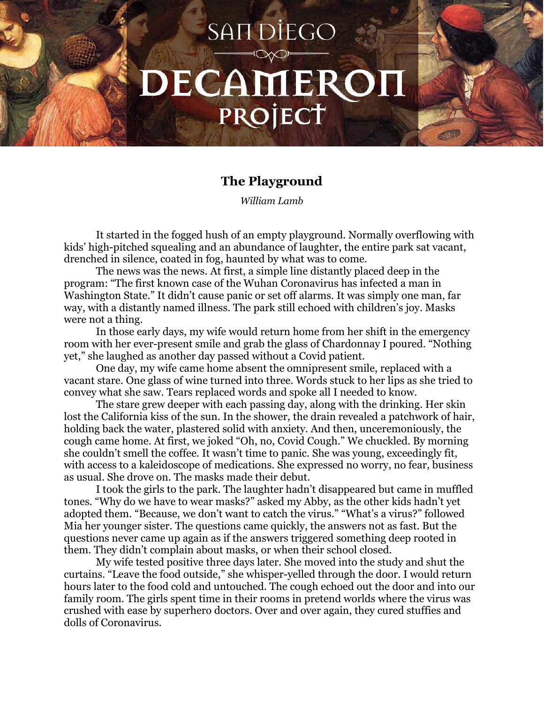## **SANDIEGO** DECAMEROI PROJECT

## **The Playground**

*William Lamb*

It started in the fogged hush of an empty playground. Normally overflowing with kids' high-pitched squealing and an abundance of laughter, the entire park sat vacant, drenched in silence, coated in fog, haunted by what was to come.

The news was the news. At first, a simple line distantly placed deep in the program: "The first known case of the Wuhan Coronavirus has infected a man in Washington State." It didn't cause panic or set off alarms. It was simply one man, far way, with a distantly named illness. The park still echoed with children's joy. Masks were not a thing.

In those early days, my wife would return home from her shift in the emergency room with her ever-present smile and grab the glass of Chardonnay I poured. "Nothing yet," she laughed as another day passed without a Covid patient.

One day, my wife came home absent the omnipresent smile, replaced with a vacant stare. One glass of wine turned into three. Words stuck to her lips as she tried to convey what she saw. Tears replaced words and spoke all I needed to know.

The stare grew deeper with each passing day, along with the drinking. Her skin lost the California kiss of the sun. In the shower, the drain revealed a patchwork of hair, holding back the water, plastered solid with anxiety. And then, unceremoniously, the cough came home. At first, we joked "Oh, no, Covid Cough." We chuckled. By morning she couldn't smell the coffee. It wasn't time to panic. She was young, exceedingly fit, with access to a kaleidoscope of medications. She expressed no worry, no fear, business as usual. She drove on. The masks made their debut.

I took the girls to the park. The laughter hadn't disappeared but came in muffled tones. "Why do we have to wear masks?" asked my Abby, as the other kids hadn't yet adopted them. "Because, we don't want to catch the virus." "What's a virus?" followed Mia her younger sister. The questions came quickly, the answers not as fast. But the questions never came up again as if the answers triggered something deep rooted in them. They didn't complain about masks, or when their school closed.

My wife tested positive three days later. She moved into the study and shut the curtains. "Leave the food outside," she whisper-yelled through the door. I would return hours later to the food cold and untouched. The cough echoed out the door and into our family room. The girls spent time in their rooms in pretend worlds where the virus was crushed with ease by superhero doctors. Over and over again, they cured stuffies and dolls of Coronavirus.